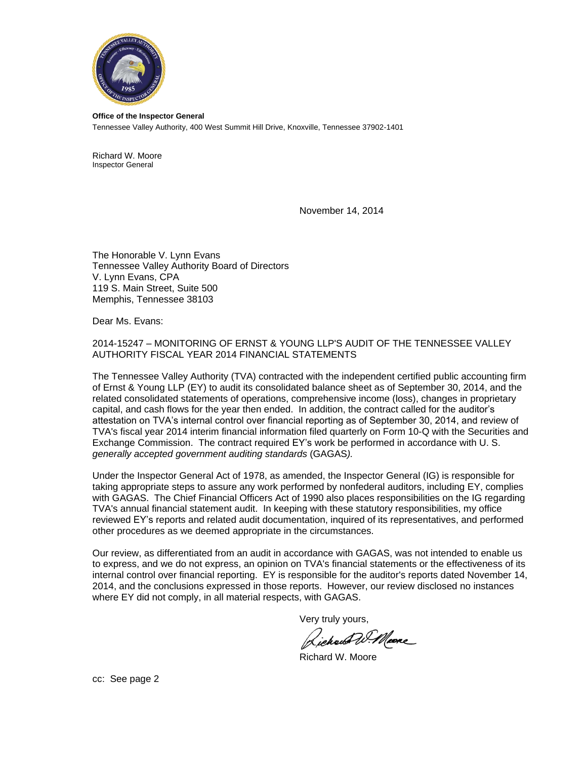

**Office of the Inspector General** Tennessee Valley Authority, 400 West Summit Hill Drive, Knoxville, Tennessee 37902-1401

Richard W. Moore Inspector General

November 14, 2014

The Honorable V. Lynn Evans Tennessee Valley Authority Board of Directors V. Lynn Evans, CPA 119 S. Main Street, Suite 500 Memphis, Tennessee 38103

Dear Ms. Evans:

2014-15247 – MONITORING OF ERNST & YOUNG LLP'S AUDIT OF THE TENNESSEE VALLEY AUTHORITY FISCAL YEAR 2014 FINANCIAL STATEMENTS

The Tennessee Valley Authority (TVA) contracted with the independent certified public accounting firm of Ernst & Young LLP (EY) to audit its consolidated balance sheet as of September 30, 2014, and the related consolidated statements of operations, comprehensive income (loss), changes in proprietary capital, and cash flows for the year then ended. In addition, the contract called for the auditor's attestation on TVA's internal control over financial reporting as of September 30, 2014, and review of TVA's fiscal year 2014 interim financial information filed quarterly on Form 10-Q with the Securities and Exchange Commission. The contract required EY's work be performed in accordance with U. S. *generally accepted government auditing standards* (GAGAS*).*

Under the Inspector General Act of 1978, as amended, the Inspector General (IG) is responsible for taking appropriate steps to assure any work performed by nonfederal auditors, including EY, complies with GAGAS. The Chief Financial Officers Act of 1990 also places responsibilities on the IG regarding TVA's annual financial statement audit. In keeping with these statutory responsibilities, my office reviewed EY's reports and related audit documentation, inquired of its representatives, and performed other procedures as we deemed appropriate in the circumstances.

Our review, as differentiated from an audit in accordance with GAGAS, was not intended to enable us to express, and we do not express, an opinion on TVA's financial statements or the effectiveness of its internal control over financial reporting. EY is responsible for the auditor's reports dated November 14, 2014, and the conclusions expressed in those reports. However, our review disclosed no instances where EY did not comply, in all material respects, with GAGAS.

Very truly yours,

Richard W. Meane

Richard W. Moore

cc: See page 2